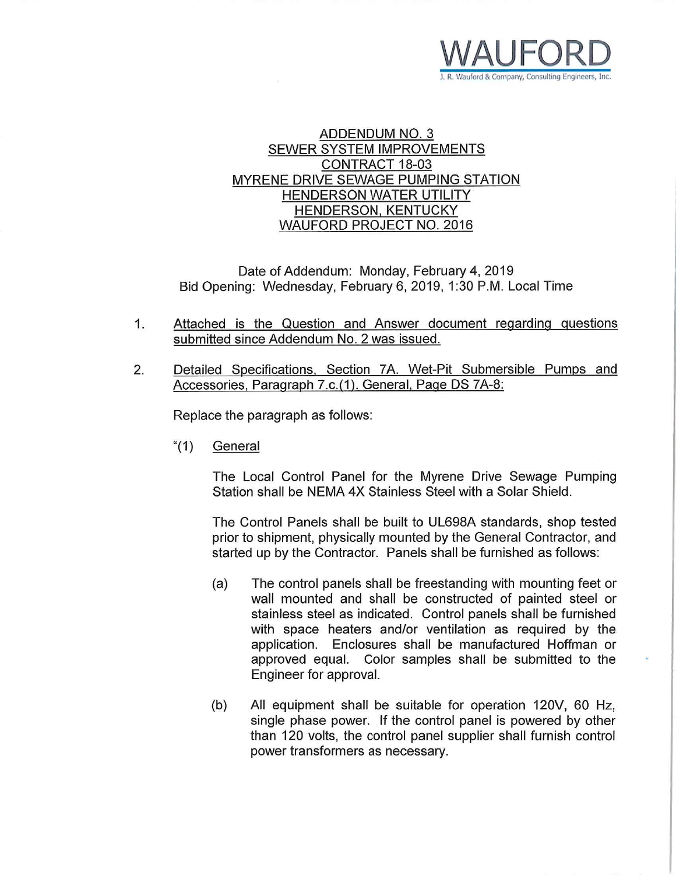

### **ADDENDUM NO. 3 SEWER SYSTEM IMPROVEMENTS CONTRACT 18-03** MYRENE DRIVE SEWAGE PUMPING STATION **HENDERSON WATER UTILITY HENDERSON, KENTUCKY WAUFORD PROJECT NO. 2016**

Date of Addendum: Monday, February 4, 2019 Bid Opening: Wednesday, February 6, 2019, 1:30 P.M. Local Time

- $1<sub>1</sub>$ Attached is the Question and Answer document regarding questions submitted since Addendum No. 2 was issued.
- $2.$ Detailed Specifications, Section 7A. Wet-Pit Submersible Pumps and Accessories, Paragraph 7.c.(1). General, Page DS 7A-8:

Replace the paragraph as follows:

" $(1)$ General

> The Local Control Panel for the Myrene Drive Sewage Pumping Station shall be NEMA 4X Stainless Steel with a Solar Shield.

> The Control Panels shall be built to UL698A standards, shop tested prior to shipment, physically mounted by the General Contractor, and started up by the Contractor. Panels shall be furnished as follows:

- The control panels shall be freestanding with mounting feet or  $(a)$ wall mounted and shall be constructed of painted steel or stainless steel as indicated. Control panels shall be furnished with space heaters and/or ventilation as required by the application. Enclosures shall be manufactured Hoffman or approved equal. Color samples shall be submitted to the Engineer for approval.
- All equipment shall be suitable for operation 120V, 60 Hz,  $(b)$ single phase power. If the control panel is powered by other than 120 volts, the control panel supplier shall furnish control power transformers as necessary.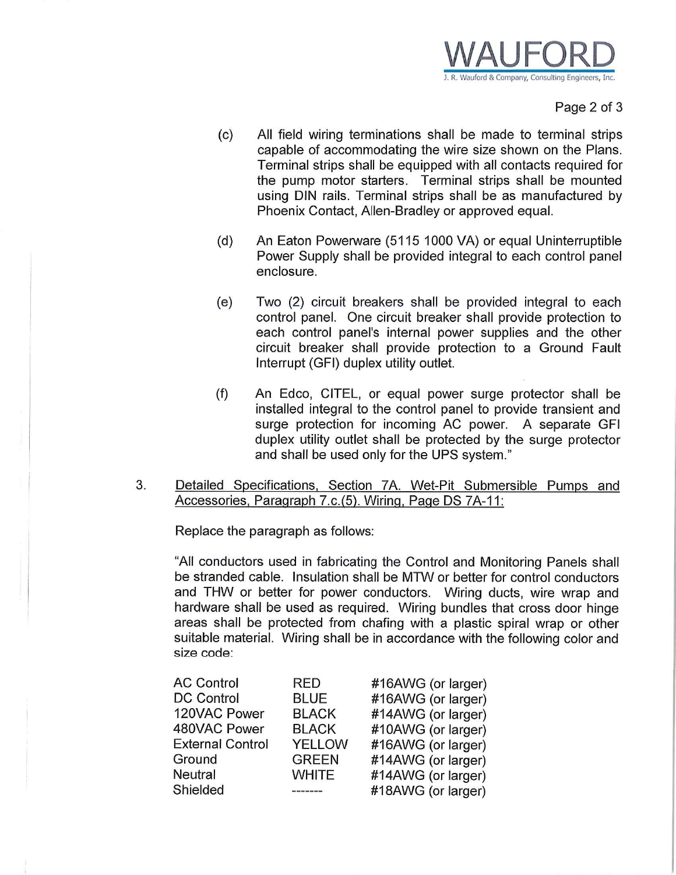

Page 2 of 3

- All field wiring terminations shall be made to terminal strips  $(c)$ capable of accommodating the wire size shown on the Plans. Terminal strips shall be equipped with all contacts required for the pump motor starters. Terminal strips shall be mounted using DIN rails. Terminal strips shall be as manufactured by Phoenix Contact, Allen-Bradley or approved equal.
- $(d)$ An Eaton Powerware (5115 1000 VA) or equal Uninterruptible Power Supply shall be provided integral to each control panel enclosure.
- Two (2) circuit breakers shall be provided integral to each  $(e)$ control panel. One circuit breaker shall provide protection to each control panel's internal power supplies and the other circuit breaker shall provide protection to a Ground Fault Interrupt (GFI) duplex utility outlet.
- $(f)$ An Edco, CITEL, or equal power surge protector shall be installed integral to the control panel to provide transient and surge protection for incoming AC power. A separate GFI duplex utility outlet shall be protected by the surge protector and shall be used only for the UPS system."
- 3. Detailed Specifications, Section 7A. Wet-Pit Submersible Pumps and Accessories, Paragraph 7.c.(5). Wiring, Page DS 7A-11:

Replace the paragraph as follows:

"All conductors used in fabricating the Control and Monitoring Panels shall be stranded cable. Insulation shall be MTW or better for control conductors and THW or better for power conductors. Wiring ducts, wire wrap and hardware shall be used as required. Wiring bundles that cross door hinge areas shall be protected from chafing with a plastic spiral wrap or other suitable material. Wiring shall be in accordance with the following color and size code:

| <b>AC Control</b>       | RED           | #16AWG (or larger) |
|-------------------------|---------------|--------------------|
| <b>DC Control</b>       | BLUE          | #16AWG (or larger) |
| 120VAC Power            | <b>BLACK</b>  | #14AWG (or larger) |
| 480VAC Power            | <b>BLACK</b>  | #10AWG (or larger) |
| <b>External Control</b> | <b>YELLOW</b> | #16AWG (or larger) |
| Ground                  | <b>GREEN</b>  | #14AWG (or larger) |
| <b>Neutral</b>          | <b>WHITE</b>  | #14AWG (or larger) |
| Shielded                |               | #18AWG (or larger) |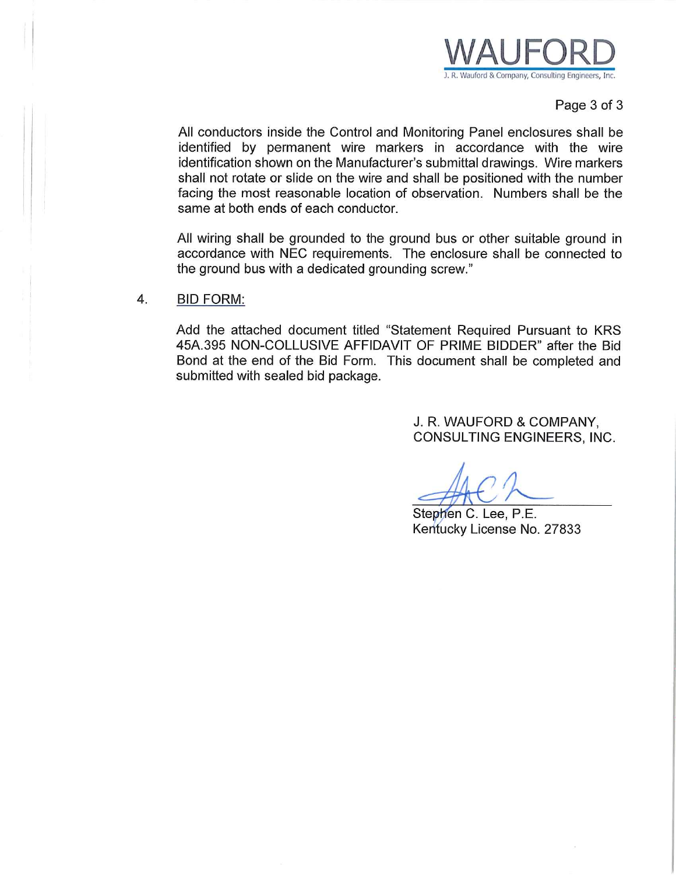

#### Page 3 of 3

All conductors inside the Control and Monitoring Panel enclosures shall be identified by permanent wire markers in accordance with the wire identification shown on the Manufacturer's submittal drawings. Wire markers shall not rotate or slide on the wire and shall be positioned with the number facing the most reasonable location of observation. Numbers shall be the same at both ends of each conductor.

All wiring shall be grounded to the ground bus or other suitable ground in accordance with NEC requirements. The enclosure shall be connected to the ground bus with a dedicated grounding screw."

 $4.$ **BID FORM:** 

> Add the attached document titled "Statement Required Pursuant to KRS 45A.395 NON-COLLUSIVE AFFIDAVIT OF PRIME BIDDER" after the Bid Bond at the end of the Bid Form. This document shall be completed and submitted with sealed bid package.

> > J. R. WAUFORD & COMPANY, CONSULTING ENGINEERS, INC.

Stephen C. Lee, P.E. Kentucky License No. 27833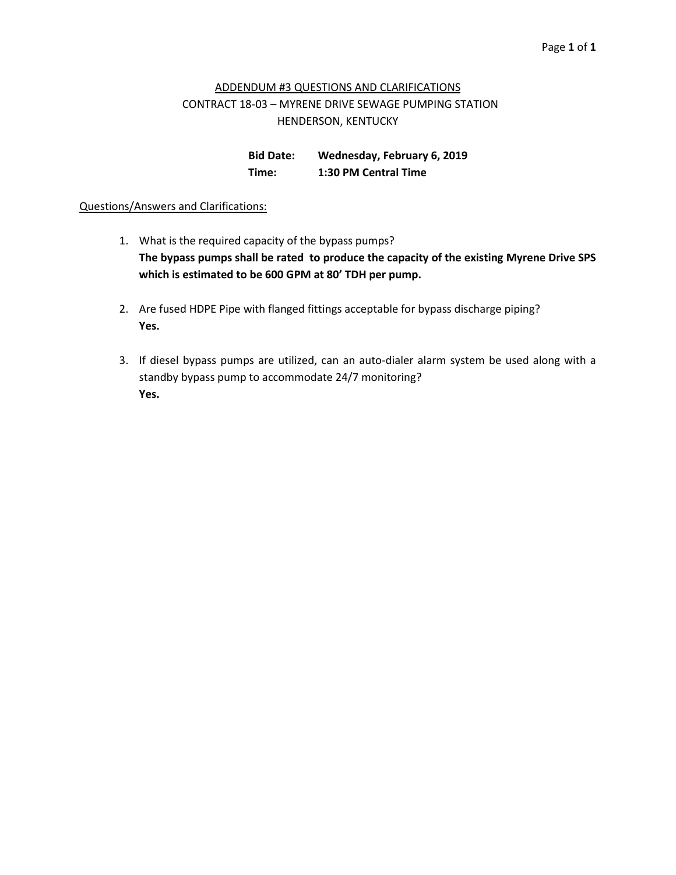## ADDENDUM #3 QUESTIONS AND CLARIFICATIONS CONTRACT 18-03 – MYRENE DRIVE SEWAGE PUMPING STATION HENDERSON, KENTUCKY

**Bid Date: Wednesday, February 6, 2019 Time: 1:30 PM Central Time**

#### Questions/Answers and Clarifications:

- 1. What is the required capacity of the bypass pumps? **The bypass pumps shall be rated to produce the capacity of the existing Myrene Drive SPS which is estimated to be 600 GPM at 80' TDH per pump.**
- 2. Are fused HDPE Pipe with flanged fittings acceptable for bypass discharge piping? **Yes.**
- 3. If diesel bypass pumps are utilized, can an auto-dialer alarm system be used along with a standby bypass pump to accommodate 24/7 monitoring? **Yes.**